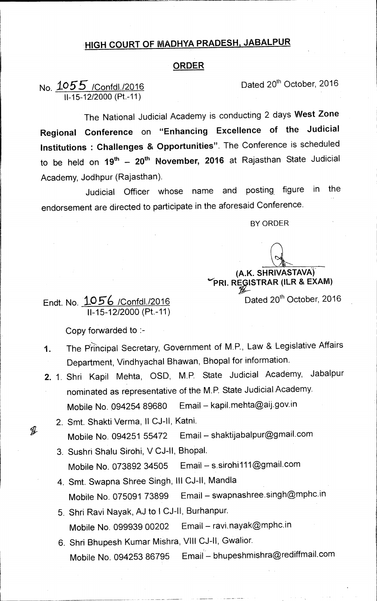## **HIGH COURT OF MADHYA PRADESH, JABALPUR**

## **ORDER**

No.  $1055$  /Confdl./2016 **Dated 20<sup>th</sup> October, 2016** 11-15-12/2000 (Pt.-11)

The National Judicial Academy is conducting 2 days **West Zone Regional Conference** on **"Enhancing Excellence of the Judicial Institutions : Challenges & Opportunities".** The Conference is scheduled to be held on 19<sup>th</sup> - 20<sup>th</sup> November, 2016 at Rajasthan State Judicial Academy, Jodhpur (Rajasthan).

Judicial Officer whose name and posting figure in the endorsement are directed to participate in the aforesaid Conference.

BY ORDER

**(AK SHRIVASTAVA)** 

**IDRI. RE ISTRAR (ILR & EXAM)**  Dated 20<sup>th</sup> October, 2016

Endt. No. **to** /Confdl./2016 11-15-12/2000 (Pt.-11)

Copy forwarded to :-

- 1. The Principal Secretary, Government of M.P., Law & Legislative Affairs Department, Vindhyachal Bhawan, Bhopal for information.
- 2. 1. Shri Kapil Mehta, OSD, M.P. State Judicial Academy, Jabalpur nominated as representative of the M.P. State Judicial Academy. Mobile No. 094254 89680 Email — kapil.mehta@aij.gov.in
	- 2. Smt. Shakti Verma, II CJ-II, Katni. Mobile No. 094251 55472 Email — shaktijabalpur@gmail.com
	- 3. Sushri Shalu Sirohi, V CJ-II, Bhopal. Mobile No. 073892 34505 Email — s.sirohi111@gmail.com
	- 4. Smt. Swapna Shree Singh, Ill CJ-II, Mandla Mobile No. 075091 73899 Email — swapnashree.singh@mPhc.in
	- 5. Shri Ravi Nayak, AJ to I CJ-11, Burhanpur. Mobile No. 099939 00202 Email — ravi.nayak@mphc.in
	- 6. Shri Bhupesh Kumar Mishra, VIII CJ-II, Gwalior. Mobile No. 094253 86795 Email — bhupeshmishra@rediffmail.com

J.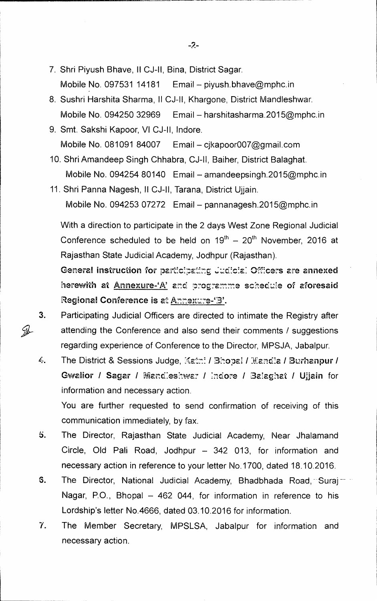7. Shri Piyush Bhave, II CJ-II, Bina, District Sagar.

Mobile No. 097531 14181 Email — piyush.bhave@mphc.in

- 8. Sushri Harshita Sharma, ll CJ-II, Khargone, District Mandleshwar. Mobile No. 094250 32969 Email — harshitasharma.2015@mphc.in
- 9. Smt. Sakshi Kapoor, VI CJ-II, lndore. Mobile No. 081091 84007 Email — cjkapoor007@gmail.com
- 10. Shri Amandeep Singh Chhabra, CJ-II, Baiher, District Balaghat. Mobile No. 094254 80140 Email — amandeepsingh.2015@mphc.in
- 11. Shri Panna Nagesh, II CJ-II, Tarana, District Ujjain. Mobile No. 094253 07272 Email — pannanagesh.2015@mphc.in

With a direction to participate in the 2 days West Zone Regional Judicial Conference scheduled to be held on  $19<sup>th</sup> - 20<sup>th</sup>$  November, 2016 at Rajasthan State Judicial Academy, Jodhpur (Rajasthan).

General instruction for participating Judicial Officers are annexed herewith at Annexure-'A' and programme schedule of aforesaid Regional Conference is at Annexure-'3'.

3. Participating Judicial Officers are directed to intimate the Registry after attending the Conference and also send their comments / suggestions regarding experience of Conference to the Director, MPSJA, Jabalpur.

 $\mathcal{G}$ 

4. The District & Sessions Judge, Katni / Bhopal / Mandla / Burhanpur / Gwalior / Sagar / Mandleshwar / Indore / Balaghat / Ujiain for information and necessary action.

You are further requested to send confirmation of receiving of this communication immediately, by fax.

- b. The Director, Rajasthan State Judicial Academy, Near Jhalamand Circle, Old Pali Road, Jodhpur — 342 013, for information and necessary action in reference to your letter No.1700, dated 18.10.2016.
- 6. The Director, National Judicial Academy, Bhadbhada Road, Suraj Nagar, P.O., Bhopal — 462 044, for information in reference to his Lordship's letter No.4666, dated 03.10.2016 for information.
- 7. The Member Secretary, MPSLSA, Jabalpur for information and necessary action.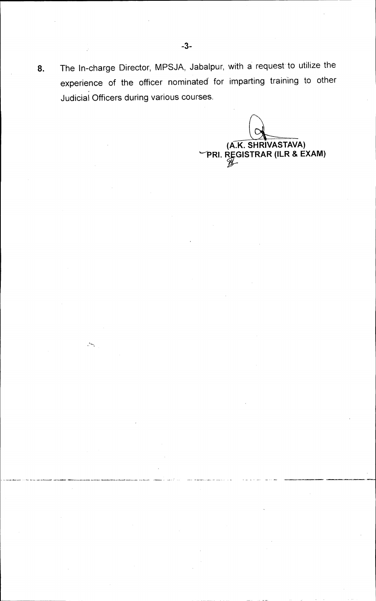**8.** The In-charge Director, MPSJA, Jabalpur, with a request' to utilize the experience of the officer nominated for imparting training to other Judicial Officers during various courses.

**(A.K. SHRIVASTAVA)**<br>PRI. REGISTRAR (ILR & EXAM)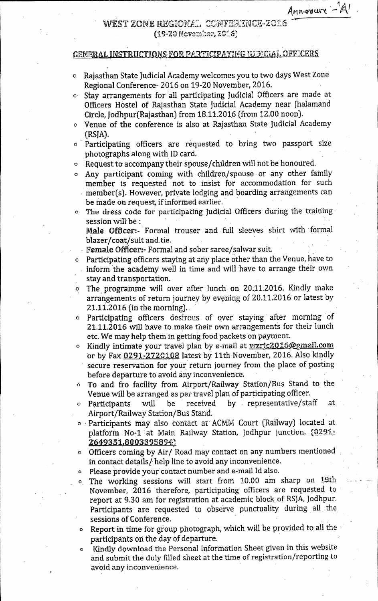Annoxure  $-A$ 

## west zone regional. conference-2016 (19-20 November, 2016)

## GENERAL INSTRUCTIONS FOR PARTICIPATING IJDICIAL OFFICERS

- O Rajasthan State Judicial Academy welcomes you to two days West Zone Regional Conference- 2016 on 19-20 November, 2016.
- $\circ$  Stay arrangements for all participating Judicial Officers are made at Officers Hostel of Rajasthan State Judicial Academy near Jhalamand Circle, Jodhpur(Rajasthan) from 18.11.2016 (from 12.00 noon).
- O Venue of the conference is also at Rajasthan State Judicial Academy (RSJA).
- O Participating officers are requested to bring two passport size photographs along with ID card.
- $\circ$  Request to accompany their spouse/children will not be honoured.
- $\circ$  Any participant coming with children/spouse or any other family member is requested not to insist for accommodation for such member(s). However, private lodging and boarding arrangements can be made on request, if informed earlier.
- The dress code for participating Judicial Officers during the training session will be:

Male Officer:- Formal trouser and full sleeves shirt with formal blazer/coat/suit and.tie.

- Female Officer:- Formal and sober saree/salwar suit.
- Participating officers staying at any place other than the Venue, have to .• inform the academy well in time **and** will have to arrange their own . stay and transportation.
- The programme will over after lunch on 20.11.2016. Kindly make arrangements of return journey by evening of 20.11.2016 or latest by 21.11.2016 (in the morning)..
- O Participating officers desirous of over staying after morning of 21.11.2016 will have to make their own arrangements for their lunch etc. We may help them in getting food packets on payment.
- Kindly intimate your travel plan by e-mail at wzrjc2016@gmail.com or by Fax  $0291 - 2720108$  latest by 11th November, 2016. Also kindly secure reservation for your **return** journey from the place of posting before departure to avoid any inconvenience. •
- To and fro facility from Airport/Railway Station/Bus Stand to the Venue will be arranged as per travel plan of participating officer. •
- O Participants will be received by representative/staff at • Airport/Railway Station/Bus Stand.
- 0 Participants may also contact at\* ACM1Vi Court (Railway) located at platform No-1 at Main Railway Station, Jodhpur junction. (0291-2•649351.800339589
- O Officers coming by Air/ Road may contact on any numbers mentioned in contact details/ help line to avoid any inconvenience.
- O Please provide your contact number and e-mail Id also.
- The working sessions will start from 10.00 am sharp on 19th  $\bullet$ November, 2016 therefore, participating officers are requested to report at 9.30 am for registration at academic block of RSJA, Jodhpur. Participants are requested to observe punctuality during all the. sessions of Conference. •
- Report in time for group photograph, which will be provided to all the participants on the day of departure.
- Kindly download the Personal Information Sheet given in this website and submit the duly filled sheet at the time of registration/reporting to avoid any inconvenience.